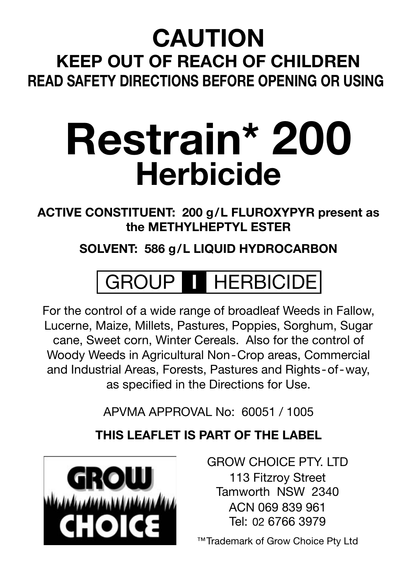### **CAUTION KEEP OUT OF REACH OF CHILDREN READ SAFETY DIRECTIONS BEFORE OPENING OR USING**

## **Restrain\* 200 Herbicide**

**ACTIVE CONSTITUENT: 200 g/L FLUROXYPYR present as the METHYLHEPTYL ESTER**

#### **SOLVENT: 586 g/L LIQUID HYDROCARBON**

## GROUP **I** HERBICIDE

For the control of a wide range of broadleaf Weeds in Fallow, Lucerne, Maize, Millets, Pastures, Poppies, Sorghum, Sugar cane, Sweet corn, Winter Cereals. Also for the control of Woody Weeds in Agricultural Non-Crop areas, Commercial and Industrial Areas, Forests, Pastures and Rights-of-way, as specified in the Directions for Use.

APVMA APPROVAL No: 60051 / 1005

#### **THIS LEAFLET IS PART OF THE LABEL**



GROW CHOICE PTY. LTD 113 Fitzroy Street Tamworth NSW 2340 ACN 069 839 961 Tel: 02 6766 3979

™Trademark of Grow Choice Pty Ltd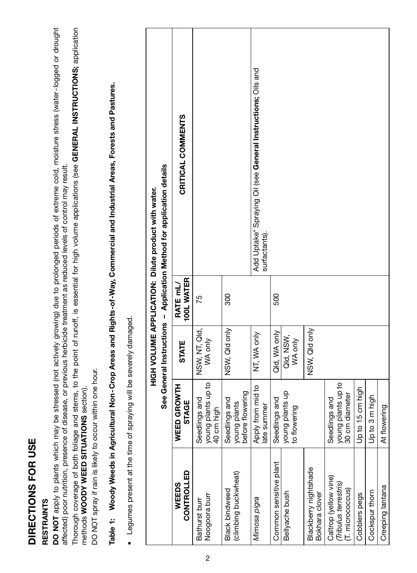# DIRECTIONS FOR USE **DIRECTIONS FOR USE**

## **RESTRAINTS RESTRAINTS**

DO NOT apply to plants which may be stressed (not actively growing) due to prolonged periods of extreme cold, moisture stress (water-logged or drought **DO NOT** apply to plants which may be stressed (not actively growing) due to prolonged periods of extreme cold, moisture stress (water-logged or drought affected) poor nutrition, presence of disease, or previous herbicide treatment as reduced levels of control may result. affected) poor nutrition, presence of disease, or previous herbicide treatment as reduced levels of control may result.

Thorough coverage of both foliage and stems, to the point of runoff, is essential for high volume applications (see GENERAL INSTRUCTIONS; application Thorough coverage of both foliage and stems, to the point of runoff, is essential for high volume applications (see **GENERAL INSTRUCTIONS;** application methods WOODY WEED SITUATIONS section). methods **WOODY WEED SITUATIONS** section).

DO NOT spray if rain is likely to occur within one hour. DO NOT spray if rain is likely to occur within one hour.

# Table 1: Woody Weeds in Agricultural Non-Crop Areas and Rights-of-Way, Commercial and Industrial Areas, Forests and Pastures. **Table 1: Woody Weeds in Agricultural Non-Crop Areas and Rights-of-Way, Commercial and Industrial Areas, Forests and Pastures.**

. Legumes present at the time of spraying will be severely damaged. • Legumes present at the time of spraying will be severely damaged.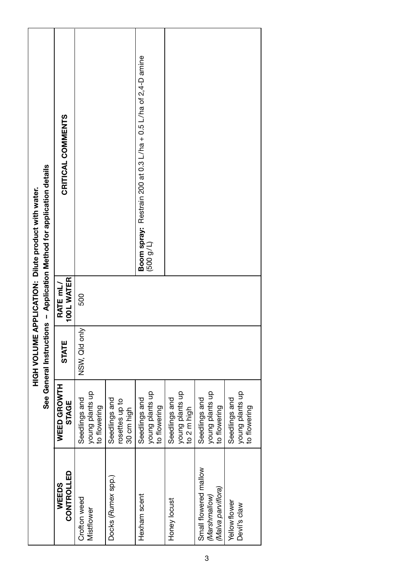| See General Instructions - Application Method for application details<br>HIGH VOLUME APPLICATION: Dilute product with water. | CRITICAL COMMENTS                  |                                                  |                                               | Boom spray: Restrain 200 at 0.3 L/ha + 0.5 L/ha of 2,4-D amine<br>(500 g/L) |                                                 |                                                              |                                                  |
|------------------------------------------------------------------------------------------------------------------------------|------------------------------------|--------------------------------------------------|-----------------------------------------------|-----------------------------------------------------------------------------|-------------------------------------------------|--------------------------------------------------------------|--------------------------------------------------|
|                                                                                                                              | 100L WATER<br>RATE <sub>mL</sub> / | 500                                              |                                               |                                                                             |                                                 |                                                              |                                                  |
|                                                                                                                              | <b>STATE</b>                       | NSW, Qld only                                    |                                               |                                                                             |                                                 |                                                              |                                                  |
|                                                                                                                              | WEED GROWTH<br><b>STAGE</b>        | young plants up<br>to flowering<br>Seedlings and | Seedlings and<br>rosettes up to<br>30 cm high | young plants up<br>Seedlings and<br>to flowering                            | young plants up<br>Seedlings and<br>to 2 m high | young plants up<br>Seedlings and<br>to flowering             | young plants up<br>Seedlings and<br>to flowering |
|                                                                                                                              | <b>CONTROLLED</b><br>WEEDS         | Crofton weed<br>Mistflower                       | Docks (Rumex spp.)                            | Hexham scent                                                                | Honey locust                                    | Small flowered mallow<br>(Malva parviflora)<br>(Marshmallow) | Yellowflower<br>Devil's claw                     |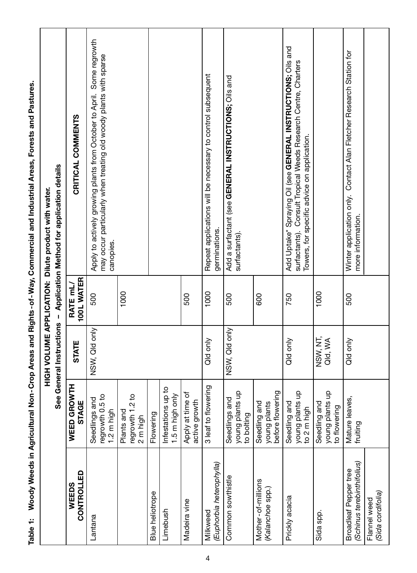|                                                            |                                                  |                     |                               | See General Instructions - Application Method for application details<br>HIGH VOLUME APPLICATION: Dilute product with water.                                                  |
|------------------------------------------------------------|--------------------------------------------------|---------------------|-------------------------------|-------------------------------------------------------------------------------------------------------------------------------------------------------------------------------|
| <b>WEEDS</b>                                               | WEED GROWTH                                      |                     |                               |                                                                                                                                                                               |
| CONTROLLED                                                 | <b>STAGE</b>                                     | <b>STATE</b>        | <b>RATE mL/</b><br>100L WATER | CRITICAL COMMENTS                                                                                                                                                             |
| Lantana                                                    | regrowth 0.5 to<br>Seedlings and<br>1.2 m high   | NSW, Qld only       | 500                           | Apply to actively growing plants from October to April. Some regrowth<br>may occur particularly when treating old woody plants with sparse<br>canopies.                       |
|                                                            | regrowth 1.2 to<br>Plants and<br>2 m high        |                     | 1000                          |                                                                                                                                                                               |
| <b>Blue heliotrope</b>                                     | Flowering                                        |                     |                               |                                                                                                                                                                               |
| Limebush                                                   | Infestations up to<br>1.5 m high only            |                     |                               |                                                                                                                                                                               |
| Madeira vine                                               | Apply at time of<br>active growth                |                     | 500                           |                                                                                                                                                                               |
| (Euphorbia heterophylla)<br>Milkweed                       | 3 leaf to flowering                              | Qld only            | 1000                          | Repeat applications will be necessary to control subsequent<br>germinations.                                                                                                  |
| Common sowthistle                                          | young plants up<br>Seedlings and<br>to bolting   | NSW, Qld only       | 500                           | Add a surfactant (see GENERAL INSTRUCTIONS; Oils and<br>surfactants).                                                                                                         |
| Mother-of-millions<br>(Kalanchoe spp.)                     | before flowering<br>Seedling and<br>young plants |                     | 600                           |                                                                                                                                                                               |
| Prickly acacia                                             | young plants up<br>Seedling and<br>to 2 m high   | Qld only            | 750                           | Add Uptake* Spraying Oil (see GENERAL INSTRUCTIONS; Oils and<br>surfactants). Consult Tropical Weeds Research Centre, Charters<br>Towers, for specific advice on application. |
| Sida spp.                                                  | young plants up<br>Seedling and<br>to flowering  | NSW, NT,<br>Qld, WA | 1000                          |                                                                                                                                                                               |
| (Schinus terebinthifolius)<br><b>Broadleaf Pepper tree</b> | Mature leaves,<br>fruiting                       | Qld only            | 500                           | Winter application only. Contact Alan Fletcher Research Station for<br>more information.                                                                                      |
| (Sida cordifolia)<br>Flannel weed                          |                                                  |                     |                               |                                                                                                                                                                               |

Table 1: Woody Weeds in Agricultural Non-Crop Areas and Rights-of-Way, Commercial and Industrial Areas, Forests and Pastures. **Table 1: Woody Weeds in Agricultural Non-Crop Areas and Rights-of-Way, Commercial and Industrial Areas, Forests and Pastures.**

4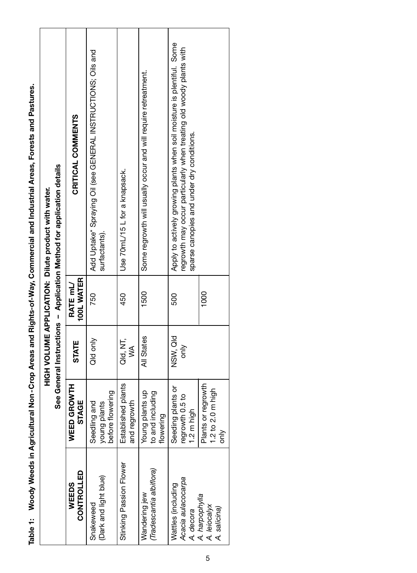| l<br>-<br>Prints |  |
|------------------|--|
| <b>Design</b>    |  |

| See General Instructions - Application Method for application details<br>HIGH VOLUME APPLICATION: Dilute product with water. | CRITICAL COMMENTS      | Add Uptake* Spraying Oil (see GENERAL INSTRUCTIONS; Oils and<br>surfactants). | Use 70mL/15 L for a knapsack.      | Some regrowth will usually occur and will require retreatment. | Apply to actively growing plants when soil moisture is plentiful. Some<br>regrowth may occur particularly when treating old woody plants with<br>sparse canopies and under dry conditions. |                                                |
|------------------------------------------------------------------------------------------------------------------------------|------------------------|-------------------------------------------------------------------------------|------------------------------------|----------------------------------------------------------------|--------------------------------------------------------------------------------------------------------------------------------------------------------------------------------------------|------------------------------------------------|
|                                                                                                                              | 100L WATER<br>RATE mL/ | 750                                                                           | 450                                | 1500                                                           | 500                                                                                                                                                                                        | $\frac{8}{1000}$                               |
|                                                                                                                              | <b>STATE</b>           | Qld only                                                                      | Qld, NT,<br>≸                      | All States                                                     | NSW, Qld<br>only                                                                                                                                                                           |                                                |
|                                                                                                                              | WEED GROWTH<br>STAGE   | before flowering<br>Seedling and<br>young plants                              | Established plants<br>and regrowth | Young plants up<br>to and including<br>flowering               | Seeding plants or<br>regrowth 0.5 to<br>1.2 m high                                                                                                                                         | Plants or regrowth<br>1.2 to 2.0 m high<br>ăσ  |
|                                                                                                                              | CONTROLLED<br>WEEDS    | (Dark and light blue)<br>Snakeweed                                            | Stinking Passion Flower            | (Tradescantia albiflora)<br>Wandering jew                      | Acacia aulacocarpa<br>Wattles (including<br>A. decora                                                                                                                                      | A. harpophylla<br>A. leiocalyx<br>A. salicina) |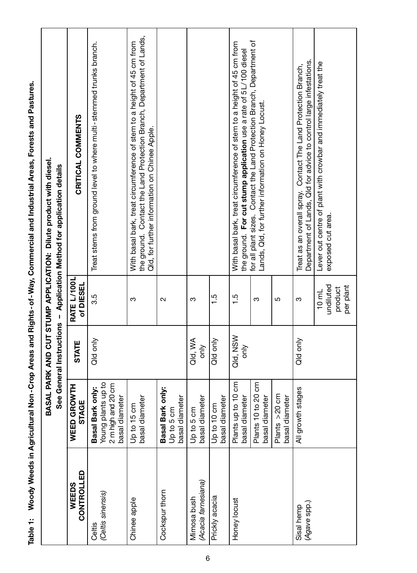|                                    |                                                                                |                          |                                                      | BASAL PARK AND CUT STUMP APPLICATION: Dilute product with diesel.<br>See General Instructions - Application Method for application details                                                      |
|------------------------------------|--------------------------------------------------------------------------------|--------------------------|------------------------------------------------------|-------------------------------------------------------------------------------------------------------------------------------------------------------------------------------------------------|
| <b>CONTROLLED</b><br>WEEDS         | <b>WEED GROWTH</b><br><b>STAGE</b>                                             | <b>STATE</b>             | <b>RATE L/100L</b><br>of DIESEL                      | CRITICAL COMMENTS                                                                                                                                                                               |
| (Celtis sinensis)<br>Celtis        | Young plants up to<br>2 m high and 20 cm<br>Basal Bark only:<br>basal diameter | Qld only                 | 3.5                                                  | Treat stems from ground level to where multi-stemmed trunks branch.                                                                                                                             |
| Chinee apple                       | basal diameter<br>Up to 15 cm                                                  |                          | S                                                    | the ground. Contact the Land Protection Branch, Department of Lands,<br>With basal bark, treat circumference of stem to a height of 45 cm from<br>Old, for further information on Chinee Apple. |
| Cockspur thorn                     | Basal Bark only:<br>basal diameter<br>Up to 5 cm                               |                          | $\sim$                                               |                                                                                                                                                                                                 |
| (Acacia farnesiana)<br>Mimosa bush | basal diameter<br>Up to 5 cm                                                   | Qld, WA<br>$\frac{1}{6}$ | က                                                    |                                                                                                                                                                                                 |
| Prickly acacia                     | basal diameter<br>Up to 10 cm                                                  | Qild only                | $\frac{5}{1}$                                        |                                                                                                                                                                                                 |
| Honey locust                       | Plants up to 10 cm<br>basal diameter                                           | Qld, NSW<br>only         | $\frac{5}{1}$                                        | With basal bark, treat circumference of stem to a height of 45 cm from<br>the ground. For cut stump application use a rate of 5L/100 diesel                                                     |
|                                    | Plants 10 to 20 cm<br>basal diameter                                           |                          | က                                                    | for all plant sizes. Contact the Land Protection Branch, Department of<br>Lands, Qld, for further information on Honey Locust.                                                                  |
|                                    | Plants >20 cm<br>basal diameter                                                |                          | 5                                                    |                                                                                                                                                                                                 |
| (Agave spp.)<br>Sisal hemp         | All growth stages                                                              | Qld only                 | ო                                                    | Department of Lands, Qld for advice to control large infestations.<br>Treat as an overall spray. Contact The Land Protection Branch,                                                            |
|                                    |                                                                                |                          | undiluted<br>per plant<br>product<br>$10 \text{ mL}$ | Lever out centre of plant with crowbar and immediately treat the<br>exposed cut area.                                                                                                           |

Table 1: Woody Weeds in Agricultural Non-Crop Areas and Rights-of-Way, Commercial and Industrial Areas, Forests and Pastures. **Table 1: Woody Weeds in Agricultural Non-Crop Areas and Rights-of-Way, Commercial and Industrial Areas, Forests and Pastures.**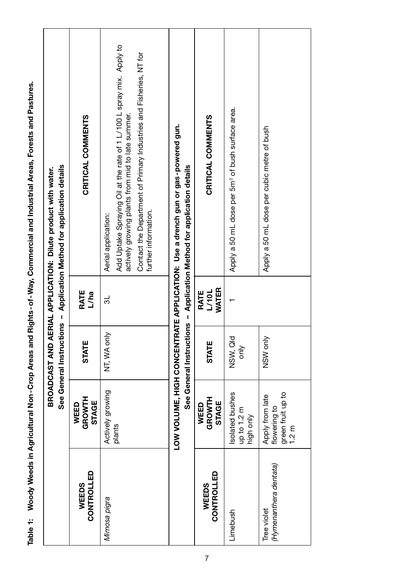|                                                                                                                                       | CRITICAL COMMENTS              | Add Uptake Spraying Oil at the rate of 1 L/100 L spray mix. Apply to<br>Contact the Department of Primary Industries and Fisheries, NT for<br>actively growing plants from mid to late summer.<br>further information.<br>Aerial application: | LOW VOLUME, HIGH CONCENTRATE APPLICATION: Use a drench gun or gas- powered gun.<br>See General Instructions - Application Method for application details | CRITICAL COMMENTS                 | Apply a 50 mL dose per 5m <sup>2</sup> of bush surface area. | Apply a 50 mL dose per cubic metre of bush                    |
|---------------------------------------------------------------------------------------------------------------------------------------|--------------------------------|-----------------------------------------------------------------------------------------------------------------------------------------------------------------------------------------------------------------------------------------------|----------------------------------------------------------------------------------------------------------------------------------------------------------|-----------------------------------|--------------------------------------------------------------|---------------------------------------------------------------|
| See General Instructions - Application Method for application details<br>BROADCAST AND AERIAL APPLICATION: Dilute product with water. | RATE<br>L/ha                   | ಕ                                                                                                                                                                                                                                             |                                                                                                                                                          | L/10L<br>WATER<br>RATE            |                                                              |                                                               |
|                                                                                                                                       | <b>STATE</b>                   | NT, WA only                                                                                                                                                                                                                                   |                                                                                                                                                          | <b>STATE</b>                      | NSW, Qld<br>only                                             | NSW only                                                      |
|                                                                                                                                       | GROWTH<br><b>STAGE</b><br>WEED | Actively growing<br>plants                                                                                                                                                                                                                    |                                                                                                                                                          | GROWTH<br>STAGE<br>WEED           | <b>Isolated bushes</b><br>up to 1.2 m<br>high only           | green fruit up to<br>Apply from late<br>flowering to<br>1.2 m |
|                                                                                                                                       | CONTROLLED<br>WEEDS            | Mimosa pigra                                                                                                                                                                                                                                  |                                                                                                                                                          | <b>CONTROLLED</b><br><b>WEEDS</b> | Limebush                                                     | (Hymenanthera dentata)<br>Tree violet                         |

Table 1: Woody Weeds in Agricultural Non-Crop Areas and Rights-of-Way, Commercial and Industrial Areas, Forests and Pastures. **Table 1: Woody Weeds in Agricultural Non-Crop Areas and Rights-of-Way, Commercial and Industrial Areas, Forests and Pastures.**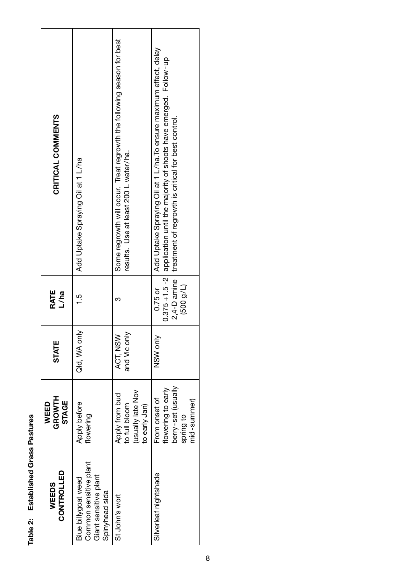# Table 2: Established Grass Pastures **Table 2: Established Grass Pastures**

| CRITICAL COMMENTS                     | Add Uptake Spraying Oil at 1 L/ha                                                        | Some regrowth will occur. Treat regrowth the following season for best<br>results. Use at least 200 L water/ha. | 0.75 or   Add Uptake Spraying Oil at 1 L/ha.To ensure maximum effect, delay<br>0.375 +1.5 -2 application until the majority of shoots have emerged. Follow-up<br>2,4-D amine   treatment of regrowth is critical for best control |
|---------------------------------------|------------------------------------------------------------------------------------------|-----------------------------------------------------------------------------------------------------------------|-----------------------------------------------------------------------------------------------------------------------------------------------------------------------------------------------------------------------------------|
| RATE<br>L/ha                          |                                                                                          |                                                                                                                 | (500 g/L)                                                                                                                                                                                                                         |
| <b>STATE</b>                          | Qld, WA only                                                                             | and Vic only<br>ACT, NSW                                                                                        | NSW only                                                                                                                                                                                                                          |
| <b>GROWTH</b><br><b>STAGE</b><br>WEED | Apply before<br>flowering                                                                | (usually late Nov<br>Apply from bud<br>to full bloom<br>to early Jan                                            | berry-set (usually<br>flowering to early<br>From onset of<br>mid-summer)<br>spring to                                                                                                                                             |
| CONTROLLED<br>WEEDS                   | Common sensitive plant<br>Giant sensitive plant<br>Blue billygoat weed<br>Spinyhead sida | St John's wort                                                                                                  | Silverleaf nightshade                                                                                                                                                                                                             |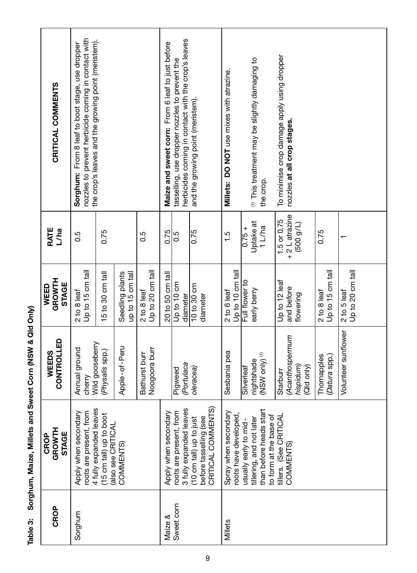| CRITICAL COMMENTS                     | nozzles to prevent herbicide coming in contact with<br>the crop's leaves and the growing point (meristem).<br>Sorghum: From 8 leaf to boot stage, use dropper |                                                                         |                                     |                                 | Maize and sweet corn: From 6 leaf to just before                                                                                                      | herbicides coming in contact with the crop's leaves<br>tasselling, use dropper nozzles to prevent the | and the growing point (meristem). | Millets: DO NOT use mixes with atrazine.                                                                                                                                                      |                                        | (1) This treatment may be slightly damaging to<br>the crop. | To minimise crop damage apply using dropper<br>nozzles at all crop stages |                              |                                 |                                 |
|---------------------------------------|---------------------------------------------------------------------------------------------------------------------------------------------------------------|-------------------------------------------------------------------------|-------------------------------------|---------------------------------|-------------------------------------------------------------------------------------------------------------------------------------------------------|-------------------------------------------------------------------------------------------------------|-----------------------------------|-----------------------------------------------------------------------------------------------------------------------------------------------------------------------------------------------|----------------------------------------|-------------------------------------------------------------|---------------------------------------------------------------------------|------------------------------|---------------------------------|---------------------------------|
| RATE<br>L/ha                          | 0.5                                                                                                                                                           | 0.75                                                                    |                                     | 0.5                             | 0.75                                                                                                                                                  | 0.5                                                                                                   | 0.75                              | 1.5                                                                                                                                                                                           | $0.75 +$                               | Uptake at<br>1 L/ha                                         | +2 Latrazine<br>1.5 or 0.75<br>(1/6 009)                                  |                              | 0.75                            |                                 |
| GROWTH<br>STAGE<br>WEED               | Up to 15 cm tall<br>2 to 8 leaf                                                                                                                               | 15 to 30 cm tall                                                        | Seedling plants<br>up to 15 cm tall | Up to 20 cm tall<br>2 to 8 leaf | 20 to 50 cm tall                                                                                                                                      | Up to 10 cm<br>diameter                                                                               | 10 to 30 cm<br>diameter           | Up to 10 cm tall<br>2 to 6 leaf                                                                                                                                                               | Full flower to                         | early berry                                                 | Up to 12 leaf<br>and before<br>flowering                                  |                              | Up to 15 cm tall<br>2 to 8 leaf | Up to 20 cm tall<br>2 to 5 leaf |
| CONTROLLED<br>WEEDS                   | Wild gooseberry<br>Apple-of-Peru<br>Annual ground<br>Noogoora burr<br>(Physalis spp.)<br>Bathurst burr<br>cherry                                              |                                                                         |                                     |                                 | Portulaca<br>Pigweed                                                                                                                                  | pleracea)                                                                                             | Sesbania pea                      | Silverleaf                                                                                                                                                                                    | NSW only) <sup>(1)</sup><br>nightshade | Acanthospermum<br><i>ispidum</i><br>Qld only)<br>Starburr   |                                                                           | Thornapples<br>(Datura spp.) | Volunteer sunflower             |                                 |
| GROWTH<br><b>STAGE</b><br><b>GROP</b> | roots are present, from<br>Apply when secondary                                                                                                               | 4 fully expanded leaves<br>(15 cm tall) up to boot<br>also see CRITICAL | COMMENTS)                           |                                 | CRITICAL COMMENTS)<br>3 fully expanded leaves<br>roots are present, from<br>Apply when secondary<br>before tasselling (see<br>(10 cm tall) up to just |                                                                                                       |                                   | than before heads start<br>Spray when secondary<br>tillers. (See CRITICAL<br>roots have developed<br>to form at the base of<br>tillering, and not later<br>usually early to mid-<br>COMMENTS) |                                        |                                                             |                                                                           |                              |                                 |                                 |
| <b>CROP</b>                           | Sorghum                                                                                                                                                       |                                                                         |                                     |                                 | Maize &                                                                                                                                               | Sweet corn                                                                                            |                                   | Millets                                                                                                                                                                                       |                                        |                                                             |                                                                           |                              |                                 |                                 |

Table 3: Sorghum, Maize, Millets and Sweet Corn (NSW & Qld Only) **Table 3: Sorghum, Maize, Millets and Sweet Corn (NSW & Qld Only)**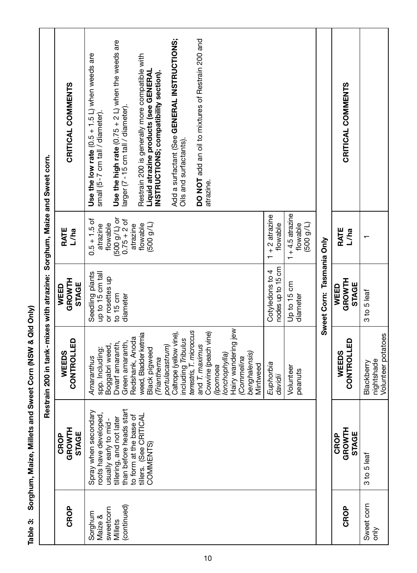|                                                                          | CRITICAL COMMENTS              | DO NOT add an oil to mixtures of Restrain 200 and<br>Use the high rate $(0.75 + 2 L)$ when the weeds are<br>Add a surfactant (See GENERAL INSTRUCTIONS;<br>Use the low rate $(0.5 + 1.5 L)$ when weeds are<br>Restrain 200 is generally more compatible with<br>Liquid atrazine products (see GENERAL<br>NSTRUCTIONS; compatibility section).<br>larger (7 - 15 cm tall / diameter)<br>small (5-7 cm tall / diameter).<br>Oils and surfactants)<br>atrazine.        |                           | CRITICAL COMMENTS              |                                                |
|--------------------------------------------------------------------------|--------------------------------|---------------------------------------------------------------------------------------------------------------------------------------------------------------------------------------------------------------------------------------------------------------------------------------------------------------------------------------------------------------------------------------------------------------------------------------------------------------------|---------------------------|--------------------------------|------------------------------------------------|
|                                                                          | <b>RATE</b><br>L/Ia            | $1 + 4.5$ atrazine<br>$1 + 2$ atrazine<br>$(500 g/L)$ or<br>0.75 + 2 of<br>$0.5 + 1.5$ of<br>flowable<br>flowable<br>flowable<br>(500 g/L)<br>flowable<br>(1/6 009)<br>atrazine<br>atrazine                                                                                                                                                                                                                                                                         |                           | RATE<br>L/ra                   |                                                |
|                                                                          | GROWTH<br>STAGE<br>WEED        | nodes up to 15 cm<br>Cotyledons to 4<br>Seedling plants<br>up to 15 cm tal<br>or rosettes up<br>Up to 15 cm<br>to 15 cm<br>diameter<br>diameter                                                                                                                                                                                                                                                                                                                     | Sweet Corn: Tasmania Only | GROWTH<br>STAGE<br>WEED        | 3 to 5 leaf                                    |
| Restrain 200 in tank-mixes with atrazine: Sorghum, Maize and Sweet corn. | CONTROLLED<br>WEEDS            | Hairy wandering jew<br>terrestris, T. microccus<br>Cowvine (peach vine)<br>weed, Bladder ketmia<br>Caltrope (yellow vine)<br>Redshank, Anoda<br>including Tribulus<br>Green amaranth,<br>Dwarf amaranth,<br>and T. maximus<br>Boggabri weed,<br>portulacastrum)<br>Black pigweed<br>spp. Including:<br>benghalensis)<br>lonchophylla)<br>Amaranthus<br>Commelina<br>Trianthema<br>Euphorbia<br>Mintweed<br><i><b>Ipomoea</b></i><br>Volunteer<br>peanuts<br>davidii |                           | CONTROLLED<br>WEEDS            | Volunteer potatoes<br>nightshade<br>Blackberry |
|                                                                          | GROWTH<br>STAGE<br><b>GROP</b> | than before heads start<br>Spray when secondary<br>roots have developed,<br>to form at the base of<br>tillers. (See CRITICAL<br>tillering, and not later<br>-bim of yine yilsuar<br>COMMENTS)                                                                                                                                                                                                                                                                       |                           | GROWTH<br>STAGE<br><b>CROP</b> | 3 to 5 leaf                                    |
|                                                                          | <b>CROP</b>                    | (continued)<br>sweetcorn<br>Sorghum<br>Maize &<br>Millets                                                                                                                                                                                                                                                                                                                                                                                                           |                           | <b>CROP</b>                    | Sweet corn<br>only                             |

Table 3: Sorghum, Maize, Millets and Sweet Corn (NSW & Qld Only) **Table 3: Sorghum, Maize, Millets and Sweet Corn (NSW & Qld Only)**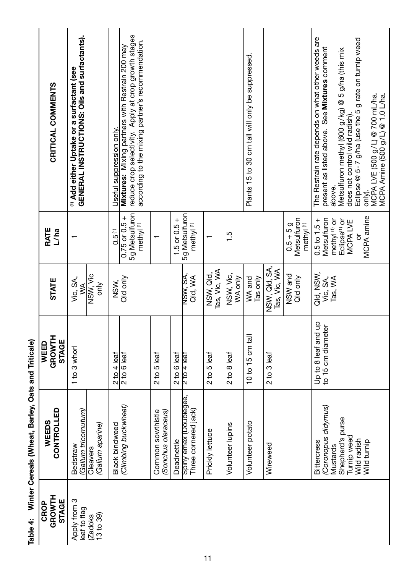| CRITICAL COMMENTS              | GENERAL INSTRUCTIONS: Oils and surfactants).<br><sup>(1)</sup> Add either Uptake or a surfactant (see |                             | Useful suppression only. | reduce crop selectivity. Apply at crop growth stages<br>according to the mixing partner's recommendation.<br>Mixtures: Mixing partners with Restrain 200 may |                                         |                  |                                                |                           |                         | Plants 15 to 30 cm tall will only be suppressed. |                               |                                                    | The Restrain rate depends on what other weeds are<br>present as listed above. See Mixtures comment<br>above. | Metsulfuron methyl (600 g/kg) @ 5 g/ha (this mix<br>does not control wild radish). | Eclipse @ 5-7 g/ha (use the 5 g rate on turnip weed<br>MCPA LVE (500 g/L) @ 700 mL/ha.<br>only). | MCPA Amine (500 g/L) @ 1.0 L/ha. |
|--------------------------------|-------------------------------------------------------------------------------------------------------|-----------------------------|--------------------------|--------------------------------------------------------------------------------------------------------------------------------------------------------------|-----------------------------------------|------------------|------------------------------------------------|---------------------------|-------------------------|--------------------------------------------------|-------------------------------|----------------------------------------------------|--------------------------------------------------------------------------------------------------------------|------------------------------------------------------------------------------------|--------------------------------------------------------------------------------------------------|----------------------------------|
| RATE<br>L/ha                   |                                                                                                       |                             | 0.5 <sup>(1)</sup>       | 5g Metsulfuron<br>$0.75$ or $0.5 +$<br>methyl <sup>(1)</sup>                                                                                                 |                                         | $1.5$ or $0.5 +$ | 5g Metsulfuron<br>methyl <sup>(1)</sup>        |                           | 1.5                     |                                                  |                               | Vetsulfuron<br>$0.5 + 5g$<br>methyl <sup>(1)</sup> | Vetsulfuron<br>$0.5$ to $1.5 +$<br>methyl <sup>(1)</sup> or                                                  | Eclipse <sup>(1)</sup> or<br>MCPALVE                                               | <b>MCPA</b> amine<br>$\delta$                                                                    |                                  |
| <b>STATE</b>                   | Vic, SA,<br>S                                                                                         | NSW, Vic<br>only            | NSW,                     | Qld only                                                                                                                                                     |                                         |                  | NSW, SA,<br>Qld, WA                            | Tas, Vic, WA<br>NSW, Qld, | NSW, Vic,<br>WA only    | WA and<br>Tas only                               | NSW, Qld, SA,<br>Tas, Vic, WA | NSW and<br>Qld only                                | Qld, NSW,<br>Vic, SA,<br>Tas, WA                                                                             |                                                                                    |                                                                                                  |                                  |
| <b>GROWTH</b><br>STAGE<br>WEED | 1 to 3 whorl                                                                                          |                             | 2 to 4 leaf              | 2 to 6 leaf                                                                                                                                                  | 2 to 5 leaf                             | 2 to 6 leaf      | $2 to 4$ lear                                  | 2 to 5 leaf               | 2 to 8 leaf             | 10 to 15 cm tall                                 | 2 to 3 leaf                   |                                                    | Up to 8 leaf and up<br>to 15 cm diameter                                                                     |                                                                                    |                                                                                                  |                                  |
| CONTROLLED<br>WEEDS            | (Galium tricomutum)<br>Bedstraw                                                                       | Galium aparine)<br>Cleavers | <b>Black bindweed</b>    | (Climbing buckwheat)                                                                                                                                         | Common sowthistle<br>Sonchus oleraceus) | Deadnettle       | Spiny emex (Doublegee,<br>Three cornered jack) | Prickly lettuce           | <b>Volunteer lupins</b> | Volunteer potato                                 | Wireweed                      |                                                    | Coronopus didymus)<br><b>Bittercress</b><br>Mustards                                                         | Shepherd's purse<br>Turnip weed                                                    | Wild radish<br><b>Mild turnip</b>                                                                |                                  |
| GROWTH<br><b>STAGE</b><br>CROP | Apply from 3<br>leaf to flag                                                                          | 13 to 39)<br>Zadoks         |                          |                                                                                                                                                              |                                         |                  |                                                |                           |                         |                                                  |                               |                                                    |                                                                                                              |                                                                                    |                                                                                                  |                                  |

Table 4: Winter Cereals (Wheat, Barley, Oats and Triticale) **Table 4: Winter Cereals (Wheat, Barley, Oats and Triticale)**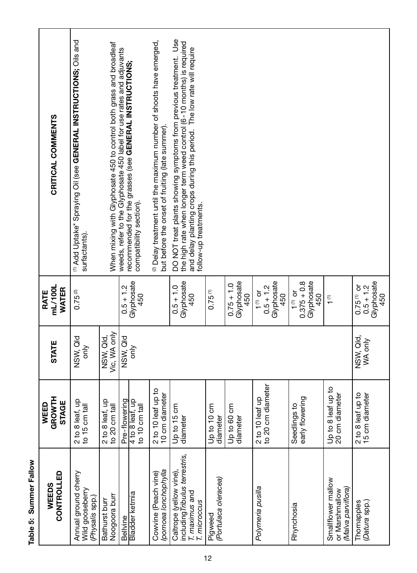| CRITICAL COMMENTS                     | (i) Add Uptake* Spraying Oil (see GENERAL INSTRUCTIONS; Oils and<br>surfactants). | When mixing with Glyphosate 450 to control both grass and broadleaf | weeds, refer to the Glyphosate 450 label for use rates and adjuvants | recommended for the grasses (see GENERAL INSTRUCTIONS;<br>compatibility section). | <sup>2)</sup> Delay treatment until the maximum number of shoots have emerged,<br>but before the onset of fruiting (late summer) | DO NOT treat plants showing symptoms from previous treatment. Use | the high rate when longer term weed control (6-10 months) is required<br>and delay planting crops during this period. The low rate will require<br>follow-up treatments. |                                 |                                   |                                                  |                                                    |                                                            |                                                     |
|---------------------------------------|-----------------------------------------------------------------------------------|---------------------------------------------------------------------|----------------------------------------------------------------------|-----------------------------------------------------------------------------------|----------------------------------------------------------------------------------------------------------------------------------|-------------------------------------------------------------------|--------------------------------------------------------------------------------------------------------------------------------------------------------------------------|---------------------------------|-----------------------------------|--------------------------------------------------|----------------------------------------------------|------------------------------------------------------------|-----------------------------------------------------|
| mL/100L<br><b>WATER</b><br>RATE       | $0.75^{(2)}$                                                                      |                                                                     | $0.5 + 1.2$                                                          | Glyphosate<br>450                                                                 |                                                                                                                                  | $0.5 + 1.0$                                                       | Glyphosate<br>450                                                                                                                                                        | $0.75^{(1)}$                    | Glyphosate<br>$0.75 + 1.0$<br>450 | Glyphosate<br>$0.5 + 1.2$<br>$1^{(1)}$ or<br>450 | Glyphosate<br>$0.375 + 0.8$<br>$1^{(1)}$ or<br>450 | Ξ,                                                         | Glyphosate<br>$0.75^{(1)}$ or<br>$0.5 + 1.2$<br>450 |
| <b>STATE</b>                          | NSW, Qld<br>only                                                                  | Vic, WA only<br>NSW, Qld,                                           | NSW, Qld                                                             | only                                                                              |                                                                                                                                  |                                                                   |                                                                                                                                                                          |                                 |                                   |                                                  |                                                    |                                                            | NSW, Qld,<br>WA only                                |
| <b>GROWTH</b><br><b>STAGE</b><br>WEED | 2 to 8 leaf, up<br>to 15 cm tall                                                  | 2 to 8 leaf, up<br>to 20 cm tall                                    | Pre-flowering                                                        | 4 to 8 leaf, up<br>to 10 cm tall                                                  | 2 to 10 leaf up to<br>10 cm diameter                                                                                             | Upto 15 cm                                                        | diameter                                                                                                                                                                 | Up to 10 cm<br>diameter         | Up to 60 cm<br>diameter           | 2 to 10 leaf up<br>to 20 cm diameter             | early flowering<br>Seedlings to                    | Up to 8 leaf up to<br>20 cm diameter                       | 2 to 8 leaf up to<br>15 cm diameter                 |
| CONTROLLED<br>WEEDS                   | Annual ground cherry<br>Wild gooseberry<br>(Physalis spp.)                        | Noogoora burr<br>Bathurst burr                                      | Bellvine                                                             | <b>Bladder ketmia</b>                                                             | pomoea lonchophylla<br>Cowvine (Peach vine)                                                                                      | Caltrope (yellow vine),                                           | including Tribulus terrestris,<br>T. maximus and<br>T. microccus                                                                                                         | (Portulaca oleracea)<br>Pigweed |                                   | Polymeria pusilla                                | Rhynchosia                                         | Smallflower mallow<br>(Malva parviflora)<br>or Marshmallow | Thomapples<br>(Datura spp.)                         |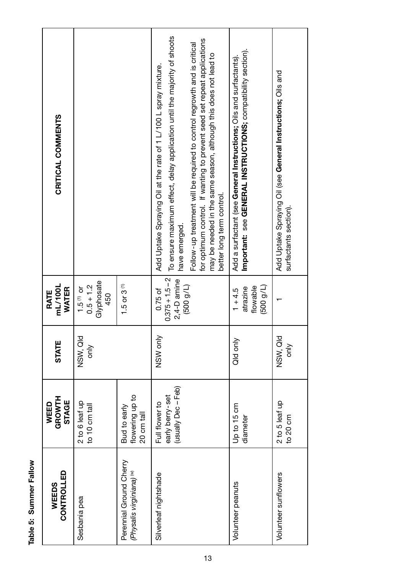| CRITICAL COMMENTS                 |                                                |                                                                 | To ensure maximum effect, delay application until the majority of shoots<br>for optimum control. If wanting to prevent seed set repeat applications<br>Follow-up treatment will be required to control regrowth and is critical<br>may be needed in the same season, although this does not lead to<br>Add Uptake Spraying Oil at the rate of 1 L/100 L spray mixture.<br>better long term control.<br>have emerged. | Important: see GENERAL INSTRUCTIONS; compatibility section).<br>Add a surfactant (see General Instructions; Oils and surfactants). | Add Uptake Spraying Oil (see General Instructions; Oils and<br>surfactants section). |
|-----------------------------------|------------------------------------------------|-----------------------------------------------------------------|----------------------------------------------------------------------------------------------------------------------------------------------------------------------------------------------------------------------------------------------------------------------------------------------------------------------------------------------------------------------------------------------------------------------|------------------------------------------------------------------------------------------------------------------------------------|--------------------------------------------------------------------------------------|
| mL/100L<br><b>WATER</b><br>RATE   | Glyphosate<br>$0.5 + 1.2$<br>$1.500$ or<br>450 | $1.5$ or $3(1)$                                                 | $0.375 + 1.5 - 2$<br>2.4-D amine<br>(1/6009)<br>$0.75$ of                                                                                                                                                                                                                                                                                                                                                            | flowable<br>$(1/6$ 00 $9$<br>atrazine<br>$1 + 4.5$                                                                                 |                                                                                      |
| <b>STATE</b>                      | NSW, Qld<br>$\sum_{i=1}^{n}$                   |                                                                 | NSW only                                                                                                                                                                                                                                                                                                                                                                                                             | Qld only                                                                                                                           | NSW, Qld<br>ð                                                                        |
| GROWTH<br><b>STAGE</b><br>WEED    | 2 to 6 leaf up<br>to 10 cm tall                | flowering up to<br>Bud to early<br>20 cm tall                   | (usually Dec-Feb)<br>early berry-set<br>Full flower to                                                                                                                                                                                                                                                                                                                                                               | Up to 15 cm<br>diameter                                                                                                            | 2 to 5 leaf up<br>to $20 \text{ cm}$                                                 |
| <b>CONTROLLED</b><br><b>WEEDS</b> | Sesbania pea                                   | Perennial Ground Cherry<br>(Physalis virginiana) <sup>(w)</sup> | Silverleaf nightshade                                                                                                                                                                                                                                                                                                                                                                                                | Volunteer peanuts                                                                                                                  | Volunteer sunflowers                                                                 |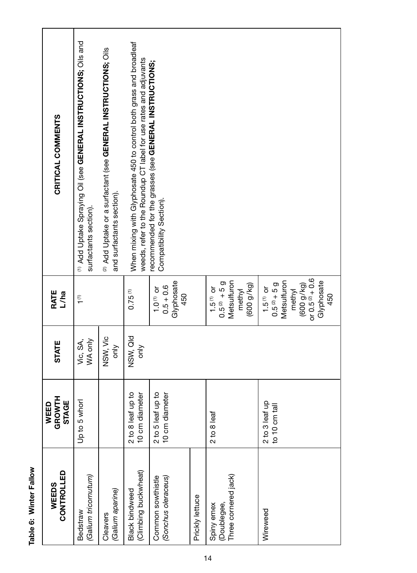| ಹ      |
|--------|
| è<br>ś |
| قة     |
| Table  |

| CRITICAL COMMENTS              | (i) Add Uptake Spraying Oil (see GENERAL INSTRUCTIONS; Oils and<br>surfactants section). | <sup>(2)</sup> Add Uptake or a surfactant (see GENERAL INSTRUCTIONS; Oils<br>and surfactants section). | When mixing with Glyphosate 450 to control both grass and broadleaf<br>weeds, refer to the Roundup CT label for use rates and adjuvants | recommended for the grasses (see GENERAL INSTRUCTIONS;<br>Compatibility Section). |                 |                                                                        |                                                                                                                     |
|--------------------------------|------------------------------------------------------------------------------------------|--------------------------------------------------------------------------------------------------------|-----------------------------------------------------------------------------------------------------------------------------------------|-----------------------------------------------------------------------------------|-----------------|------------------------------------------------------------------------|---------------------------------------------------------------------------------------------------------------------|
| RATE<br>L/ha                   | î,                                                                                       |                                                                                                        | $0.75^{(1)}$                                                                                                                            | Glyphosate<br>$0.5 + 0.6$<br>1.0 $\degree$ or<br>450                              |                 | Metsulfuron<br>$0.5^{(2)} + 5g$<br>(69/6 009)<br>$1.5(1)$ or<br>methyl | or $0.5^{(2)} + 0.6$<br>Metsulfuron<br>Glyphosate<br>(600 g/kg)<br>$0.5^{(2)} + 5g$<br>$1.5(1)$ or<br>methyl<br>450 |
| <b>STATE</b>                   | WA only<br>Vic, SA,                                                                      | NSW, Vic<br>only                                                                                       | NSW, Qld<br>only                                                                                                                        |                                                                                   |                 |                                                                        |                                                                                                                     |
| <b>GROWTH</b><br>STAGE<br>WEED | Up to 5 whorl                                                                            |                                                                                                        | 2 to 8 leaf up to<br>10 cm diameter                                                                                                     | 2 to 5 leaf up to<br>10 cm diameter                                               |                 | 2 to 8 leaf                                                            | 2 to 3 leaf up<br>to 10 cm tall                                                                                     |
| CONTROLLED<br><b>WEEDS</b>     | (Galium tricornutum)<br>Bedstraw                                                         | (Galium aparine)<br>Cleavers                                                                           | (Climbing buckwheat)<br><b>Black bindweed</b>                                                                                           | (Sonchus oleraceus)<br>Common sowthistle                                          | Prickly lettuce | Three cornered jack)<br>Doublegee,<br>Spiny emex                       | Wireweed                                                                                                            |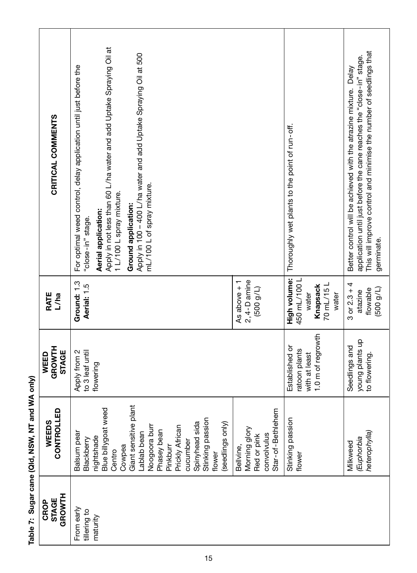| CRITICAL COMMENTS                     | Apply in not less than 60 L/ha water and add Uptake Spraying Oil at<br>Apply in 100 - 400 L/ha water and add Uptake Spraying Oil at 500<br>For optimal weed control, delay application until just before the<br>mL/100 L of spray mixture.<br>1L/100Lspray mixture.<br>Ground application:<br>Aerial application:<br>"close-in" stage. |                                                                               | Thoroughly wet plants to the point of run-off.                           | This will improve control and minimise the number of seedlings that<br>application until just before the cane reaches the "close-in" stage.<br>Better control will be achieved with the atrazine mixture. Delay<br>germinate. |
|---------------------------------------|----------------------------------------------------------------------------------------------------------------------------------------------------------------------------------------------------------------------------------------------------------------------------------------------------------------------------------------|-------------------------------------------------------------------------------|--------------------------------------------------------------------------|-------------------------------------------------------------------------------------------------------------------------------------------------------------------------------------------------------------------------------|
| RATE<br>L/ha                          | Ground: 1.3<br>Aerial: 1.5                                                                                                                                                                                                                                                                                                             | 2,4-D amine<br>As above $+1$<br>(500 g/L)                                     | High volume:<br>450 mL/100 L<br>70 mL/15 L<br>Knapsack<br>water<br>water | $3 or 2.3 + 4$<br>flowable<br>(1/6009)<br>atazine                                                                                                                                                                             |
| GROWTH<br><b>STAGE</b><br>WEED        | Apply from 2<br>to 3 leaf until<br>flowering                                                                                                                                                                                                                                                                                           |                                                                               | 1.0 m of regrowth<br>Established or<br>ratoon plants<br>with at least    | young plants up<br>Seedlings and<br>to flowering.                                                                                                                                                                             |
| CONTROLLED<br>WEEDS                   | Giant sensitive plant<br>Blue billygoat weed<br>Stinking passion<br>Spinyhead sida<br>(seedlings only)<br>Noogoora burr<br>Prickly African<br>Phasey bean<br>Lablab bean<br>Balsum pear<br>nightshade<br>Blackberry<br>cucumber<br>Cowpea<br>Pinkburr<br>Centro<br>flower                                                              | Star-of-Bethlehem<br>Morning glory<br>convolvulus<br>Red or pink<br>Bellvine, | Stinking passion<br>flower                                               | heterophylla)<br>Euphorbia<br>Milkweed                                                                                                                                                                                        |
| <b>GROWTH</b><br><b>STAGE</b><br>CROP | From early<br>tillering to<br>maturity                                                                                                                                                                                                                                                                                                 |                                                                               |                                                                          |                                                                                                                                                                                                                               |

Table 7: Sugar cane (Qld, NSW, NT and WA only) **Table 7: Sugar cane (Qld, NSW, NT and WA only)**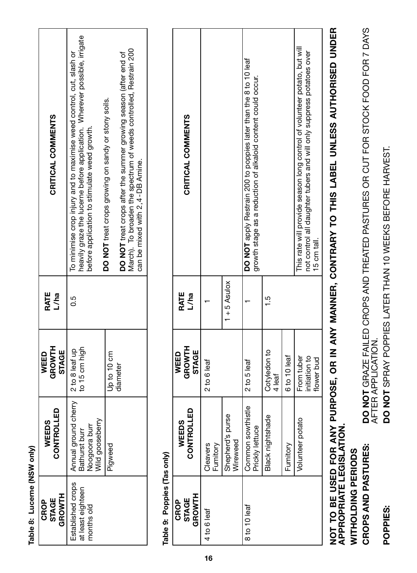Table 8: Lucerne (NSW only) **Table 8: Lucerne (NSW only)**

| CRITICAL COMMENTS                            | leavily graze the lucerne before application. Wherever possible, irrigate<br>To minimise crop injury and to maximise weed control, cut, slash or<br>before application to stimulate weed growth. | Vlarch). To broaden the spectrum of weeds controlled, Restrain 200<br>DO NOT treat crops after the summer growing season (after end of<br>DO NOT treat crops growing on sandy or stony soils.<br>can be mixed with 2.4-DB Amine. |
|----------------------------------------------|--------------------------------------------------------------------------------------------------------------------------------------------------------------------------------------------------|----------------------------------------------------------------------------------------------------------------------------------------------------------------------------------------------------------------------------------|
| <b>RATE</b><br>L/ha                          |                                                                                                                                                                                                  |                                                                                                                                                                                                                                  |
| GROWTH<br><b>STAGE</b><br>唱》                 | to 15 cm high                                                                                                                                                                                    | Up to 10 cm<br>diameter                                                                                                                                                                                                          |
| CONTROLLED<br>WEEDS                          | Established crops   Annual ground cherry   2 to 8 leaf up<br>Wild gooseberry<br><b>Joodoora</b> burr<br>Bathurst burr                                                                            | Pigweed                                                                                                                                                                                                                          |
| <b>GROWTH</b><br><b>STAGE</b><br><b>OROP</b> | at least eighteen<br>months old                                                                                                                                                                  |                                                                                                                                                                                                                                  |

# Table 9: Poppies (Tas only) **Table 9: Poppies (Tas only)**

| CRITICAL COMMENTS                            |                       |                              | DO NOT apply Restrain 200 to poppies later than the 8 to 10 leaf<br>growth stage as a reduction of alkaloid content could occur. |                        |              | This rate will provide season long control of volunteer potato, but will<br>not control all daughter tubers and will only suppress potatoes over<br>15 cm tall. |  |
|----------------------------------------------|-----------------------|------------------------------|----------------------------------------------------------------------------------------------------------------------------------|------------------------|--------------|-----------------------------------------------------------------------------------------------------------------------------------------------------------------|--|
| RATE<br>L/ha                                 |                       | $1 + 5$ Asulox               |                                                                                                                                  |                        |              |                                                                                                                                                                 |  |
| GROWTH<br><b>STAGE</b><br>WEED               | 2 to 6 leaf           |                              | 2 to 5 leaf                                                                                                                      | Cotyledon to<br>4 leaf | 6 to 10 leaf | initiation to<br>From tuber<br>flower bud                                                                                                                       |  |
| CONTROLLED<br>WEEDS                          | Cleavers<br>Furnitory | Shepherd's purse<br>Wireweed | Common sowthistle<br>Prickly lettuce                                                                                             | Black nightshade       | Fumitory     | Volunteer potato                                                                                                                                                |  |
| <b>GROWTH</b><br><b>STAGE</b><br><b>CROP</b> | 4 to 6 leaf           |                              | 8 to 10 leaf                                                                                                                     |                        |              |                                                                                                                                                                 |  |

NOT TO BE USED FOR ANY PURPOSE, OR IN ANY MANNER, CONTRARY TO THIS LABEL UNLESS AUTHORISED UNDER<br>APPROPRIATE LEGISLATION. **NOT TO BE USED FOR ANY PURPOSE, OR IN ANY MANNER, CONTRARY TO THIS LABEL UNLESS AUTHORISED UNDER APPROPRIATE LEGISLATION.**

WITHOLDING PERIODS **WITHOLDING PERIODS**

POPPIES:

**CROPS AND PASTURES:** 

DO NOT GRAZE FAILED CROPS AND TREATED PASTURES OR CUT FOR STOCK FOOD FOR 7 DAYS<br>AFTER APPLICATION. DO NOT SPRAY POPPIES LATER THAN 10 WEEKS BEFORE HARVEST. **POPPIES: DO NOT** SPRAY POPPIES LATER THAN 10 WEEKS BEFORE HARVEST.AFTER APPLICATION.

**CROPS AND PASTURES: DO NOT** GRAZE FAILED CROPS AND TREATED PASTURES OR CUT FOR STOCK FOOD FOR 7 DAYS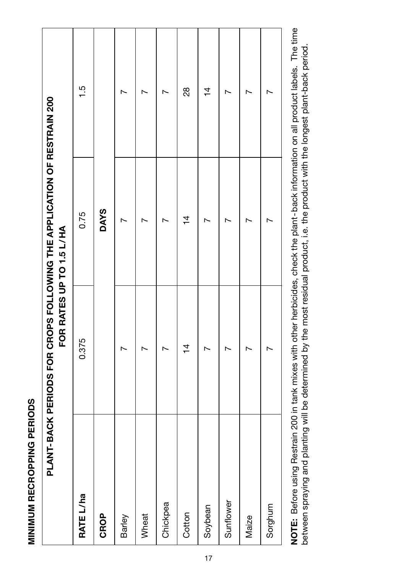| i |
|---|
|   |
| í |
|   |
|   |
| i |
|   |
|   |
| i |
|   |
|   |
|   |
|   |
|   |
|   |
|   |
|   |
|   |
|   |

|           | FOR RATES UP TO 1.5 L/HA | PLANT-BACK PERIODS FOR CROPS FOLLOWING THE APPLICATION OF RESTRAIN 200 |                |
|-----------|--------------------------|------------------------------------------------------------------------|----------------|
| RATE L/ha | 0.375                    | 0.75                                                                   | 1.5            |
| CROP      |                          | <b>DAYS</b>                                                            |                |
| Barley    |                          |                                                                        |                |
| Wheat     |                          |                                                                        |                |
| Chickpea  |                          |                                                                        |                |
| Cotton    | $\overline{4}$           | $\frac{4}{4}$                                                          | 8              |
| Soybean   |                          |                                                                        | $\overline{4}$ |
| Sunflower |                          |                                                                        |                |
| Maize     |                          |                                                                        |                |
| Sorghum   |                          |                                                                        |                |
|           |                          |                                                                        |                |

NOTE: Before using Restrain 200 in tank mixes with other herbicides, check the plant-back information on all product labels. The time **NOTE:** Before using Restrain 200 in tank mixes with other herbicides, check the plant-back information on all product labels. The time between spraying and planting will be determined by the most residual product, i.e. the product with the longest plant-back period. between spraying and planting will be determined by the most residual product, i.e. the product with the longest plant-back period.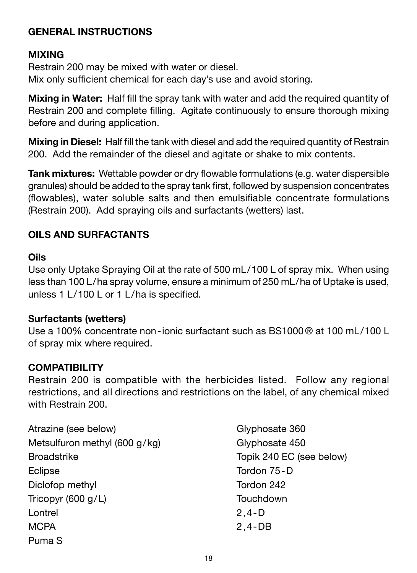#### **GENERAL INSTRUCTIONS**

#### **MIXING**

Restrain 200 may be mixed with water or diesel. Mix only sufficient chemical for each day's use and avoid storing.

**Mixing in Water:** Half fill the spray tank with water and add the required quantity of Restrain 200 and complete filling. Agitate continuously to ensure thorough mixing before and during application.

**Mixing in Diesel:** Half fill the tank with diesel and add the required quantity of Restrain 200. Add the remainder of the diesel and agitate or shake to mix contents.

**Tank mixtures:** Wettable powder or dry flowable formulations (e.g. water dispersible granules) should be added to the spray tank first, followed by suspension concentrates (flowables), water soluble salts and then emulsifiable concentrate formulations (Restrain 200). Add spraying oils and surfactants (wetters) last.

#### **OILS AND SURFACTANTS**

#### **Oils**

Use only Uptake Spraying Oil at the rate of 500 mL/100 L of spray mix. When using less than 100 L/ha spray volume, ensure a minimum of 250 mL/ha of Uptake is used, unless  $1 L/100 L$  or  $1 L/ha$  is specified.

#### **Surfactants (wetters)**

Use a 100% concentrate non-ionic surfactant such as BS1000 ® at 100 mL/100 L of spray mix where required.

#### **COMPATIBILITY**

Restrain 200 is compatible with the herbicides listed. Follow any regional restrictions, and all directions and restrictions on the label, of any chemical mixed with Restrain 200.

| Atrazine (see below)          | Glyphosate 360           |
|-------------------------------|--------------------------|
| Metsulfuron methyl (600 g/kg) | Glyphosate 450           |
| <b>Broadstrike</b>            | Topik 240 EC (see below) |
| Eclipse                       | Tordon 75-D              |
| Diclofop methyl               | Tordon 242               |
| Tricopyr $(600 \text{ q/L})$  | Touchdown                |
| Lontrel                       | $2.4 - D$                |
| <b>MCPA</b>                   | $2.4 - DB$               |
| Puma S                        |                          |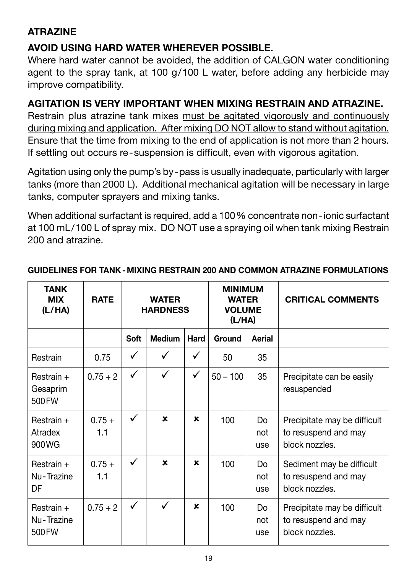#### **ATRAZINE**

#### **AVOID USING HARD WATER WHEREVER POSSIBLE.**

Where hard water cannot be avoided, the addition of CALGON water conditioning agent to the spray tank, at 100  $q/100$  L water, before adding any herbicide may improve compatibility.

#### **AGITATION IS VERY IMPORTANT WHEN MIXING RESTRAIN AND ATRAZINE.**

Restrain plus atrazine tank mixes must be agitated vigorously and continuously during mixing and application. After mixing DO NOT allow to stand without agitation. Ensure that the time from mixing to the end of application is not more than 2 hours. If settling out occurs re-suspension is difficult, even with vigorous agitation.

Agitation using only the pump's by-pass is usually inadequate, particularly with larger tanks (more than 2000 L). Additional mechanical agitation will be necessary in large tanks, computer sprayers and mixing tanks.

When additional surfactant is required, add a 100% concentrate non-ionic surfactant at 100 mL/100 L of spray mix. DO NOT use a spraying oil when tank mixing Restrain 200 and atrazine.

| TANK<br><b>MIX</b><br>(L/HA)       | <b>RATE</b>     |      | <b>WATER</b><br><b>HARDNESS</b> |      | <b>MINIMUM</b><br><b>WATER</b><br><b>VOLUME</b><br>(L/HA) |                   | <b>CRITICAL COMMENTS</b>                                               |
|------------------------------------|-----------------|------|---------------------------------|------|-----------------------------------------------------------|-------------------|------------------------------------------------------------------------|
|                                    |                 | Soft | <b>Medium</b>                   | Hard | Ground                                                    | Aerial            |                                                                        |
| Restrain                           | 0.75            | ✓    | ✓                               | ✓    | 50                                                        | 35                |                                                                        |
| Restrain +<br>Gesaprim<br>500 FW   | $0.75 + 2$      | ✓    | ✓                               | ✓    | $50 - 100$                                                | 35                | Precipitate can be easily<br>resuspended                               |
| Restrain +<br>Atradex<br>900 WG    | $0.75 +$<br>1.1 | ✓    | ×                               | x    | 100                                                       | Do<br>not<br>use  | Precipitate may be difficult<br>to resuspend and may<br>block nozzles. |
| Restrain +<br>Nu-Trazine<br>DF     | $0.75 +$<br>1.1 | ✓    | ×                               | ×    | 100                                                       | Do<br>not<br>use  | Sediment may be difficult<br>to resuspend and may<br>block nozzles.    |
| Restrain +<br>Nu-Trazine<br>500 FW | $0.75 + 2$      | ✓    | ✓                               | ×    | 100                                                       | Do.<br>not<br>use | Precipitate may be difficult<br>to resuspend and may<br>block nozzles. |

#### **GUIDELINES FOR TANK - MIXING RESTRAIN 200 AND COMMON ATRAZINE FORMULATIONS**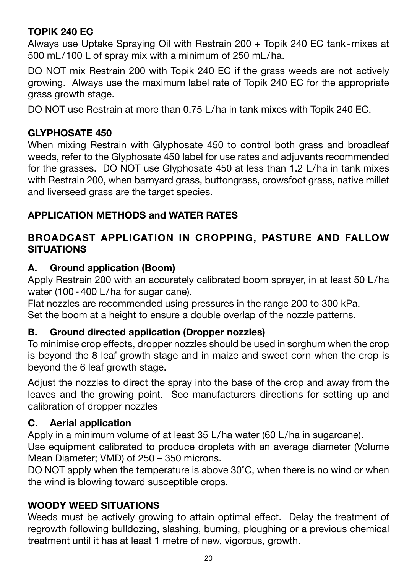#### **TOPIK 240 EC**

Always use Uptake Spraying Oil with Restrain 200 + Topik 240 EC tank-mixes at 500 mL/100 L of spray mix with a minimum of 250 mL/ha.

DO NOT mix Restrain 200 with Topik 240 EC if the grass weeds are not actively growing. Always use the maximum label rate of Topik 240 EC for the appropriate grass growth stage.

DO NOT use Restrain at more than 0.75 L/ha in tank mixes with Topik 240 EC.

#### **GLYPHOSATE 450**

When mixing Restrain with Glyphosate 450 to control both grass and broadleaf weeds, refer to the Glyphosate 450 label for use rates and adjuvants recommended for the grasses. DO NOT use Glyphosate 450 at less than 1.2 L/ha in tank mixes with Restrain 200, when barnyard grass, buttongrass, crowsfoot grass, native millet and liverseed grass are the target species.

#### **APPLICATION METHODS and WATER RATES**

#### **BROADCAST APPLICATION IN CROPPING, PASTURE AND FALLOW SITUATIONS**

#### **A. Ground application (Boom)**

Apply Restrain 200 with an accurately calibrated boom sprayer, in at least 50 L/ha water (100 - 400 L/ha for sugar cane).

Flat nozzles are recommended using pressures in the range 200 to 300 kPa. Set the boom at a height to ensure a double overlap of the nozzle patterns.

#### **B. Ground directed application (Dropper nozzles)**

To minimise crop effects, dropper nozzles should be used in sorghum when the crop is beyond the 8 leaf growth stage and in maize and sweet corn when the crop is beyond the 6 leaf growth stage.

Adjust the nozzles to direct the spray into the base of the crop and away from the leaves and the growing point. See manufacturers directions for setting up and calibration of dropper nozzles

#### **C. Aerial application**

Apply in a minimum volume of at least 35 L/ha water (60 L/ha in sugarcane).

Use equipment calibrated to produce droplets with an average diameter (Volume Mean Diameter; VMD) of 250 – 350 microns.

DO NOT apply when the temperature is above 30º C, when there is no wind or when the wind is blowing toward susceptible crops.

#### **WOODY WEED SITUATIONS**

Weeds must be actively growing to attain optimal effect. Delay the treatment of regrowth following bulldozing, slashing, burning, ploughing or a previous chemical treatment until it has at least 1 metre of new, vigorous, growth.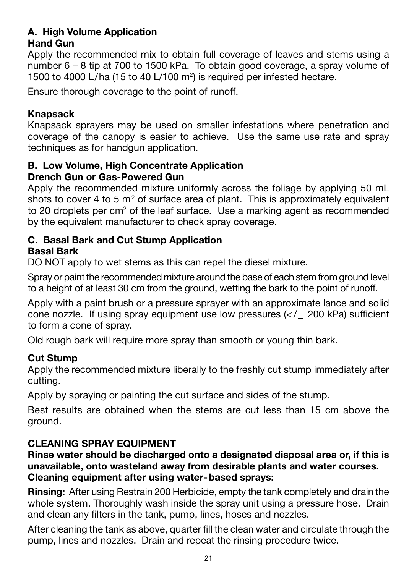#### **A. High Volume Application Hand Gun**

Apply the recommended mix to obtain full coverage of leaves and stems using a number 6 – 8 tip at 700 to 1500 kPa. To obtain good coverage, a spray volume of 1500 to 4000 L/ha (15 to 40 L/100 m<sup>2</sup>) is required per infested hectare.

Ensure thorough coverage to the point of runoff.

#### **Knapsack**

Knapsack sprayers may be used on smaller infestations where penetration and coverage of the canopy is easier to achieve. Use the same use rate and spray techniques as for handgun application.

#### **B. Low Volume, High Concentrate Application Drench Gun or Gas-Powered Gun**

Apply the recommended mixture uniformly across the foliage by applying 50 mL shots to cover 4 to 5 m<sup>2</sup> of surface area of plant. This is approximately equivalent to 20 droplets per cm<sup>2</sup> of the leaf surface. Use a marking agent as recommended by the equivalent manufacturer to check spray coverage.

#### **C. Basal Bark and Cut Stump Application**

#### **Basal Bark**

DO NOT apply to wet stems as this can repel the diesel mixture.

Spray or paint the recommended mixture around the base of each stem from ground level to a height of at least 30 cm from the ground, wetting the bark to the point of runoff.

Apply with a paint brush or a pressure sprayer with an approximate lance and solid cone nozzle. If using spray equipment use low pressures  $\left\langle \frac{200 \text{ kPa}}{200 \text{ kPa}} \right\rangle$  sufficient to form a cone of spray.

Old rough bark will require more spray than smooth or young thin bark.

#### **Cut Stump**

Apply the recommended mixture liberally to the freshly cut stump immediately after cutting.

Apply by spraying or painting the cut surface and sides of the stump.

Best results are obtained when the stems are cut less than 15 cm above the ground.

#### **CLEANING SPRAY EQUIPMENT**

**Rinse water should be discharged onto a designated disposal area or, if this is unavailable, onto wasteland away from desirable plants and water courses. Cleaning equipment after using water-based sprays:**

**Rinsing:** After using Restrain 200 Herbicide, empty the tank completely and drain the whole system. Thoroughly wash inside the spray unit using a pressure hose. Drain and clean any filters in the tank, pump, lines, hoses and nozzles.

After cleaning the tank as above, quarter fill the clean water and circulate through the pump, lines and nozzles. Drain and repeat the rinsing procedure twice.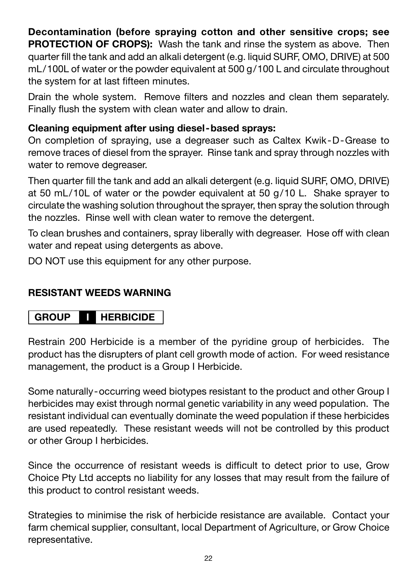**Decontamination (before spraying cotton and other sensitive crops; see PROTECTION OF CROPS):** Wash the tank and rinse the system as above. Then quarter fill the tank and add an alkali detergent (e.g. liquid SURF, OMO, DRIVE) at 500 mL/100L of water or the powder equivalent at 500 g/100 L and circulate throughout the system for at last fifteen minutes.

Drain the whole system. Remove filters and nozzles and clean them separately. Finally flush the system with clean water and allow to drain.

#### **Cleaning equipment after using diesel-based sprays:**

On completion of spraying, use a degreaser such as Caltex Kwik-D-Grease to remove traces of diesel from the sprayer. Rinse tank and spray through nozzles with water to remove degreaser.

Then quarter fill the tank and add an alkali detergent (e.g. liquid SURF, OMO, DRIVE) at 50 mL/10L of water or the powder equivalent at 50  $q/10$  L. Shake sprayer to circulate the washing solution throughout the sprayer, then spray the solution through the nozzles. Rinse well with clean water to remove the detergent.

To clean brushes and containers, spray liberally with degreaser. Hose off with clean water and repeat using detergents as above.

DO NOT use this equipment for any other purpose.

#### **RESISTANT WEEDS WARNING**

#### **GROUP IN HERBICIDE**

Restrain 200 Herbicide is a member of the pyridine group of herbicides. The product has the disrupters of plant cell growth mode of action. For weed resistance management, the product is a Group I Herbicide.

Some naturally-occurring weed biotypes resistant to the product and other Group I herbicides may exist through normal genetic variability in any weed population. The resistant individual can eventually dominate the weed population if these herbicides are used repeatedly. These resistant weeds will not be controlled by this product or other Group I herbicides.

Since the occurrence of resistant weeds is difficult to detect prior to use, Grow Choice Pty Ltd accepts no liability for any losses that may result from the failure of this product to control resistant weeds.

Strategies to minimise the risk of herbicide resistance are available. Contact your farm chemical supplier, consultant, local Department of Agriculture, or Grow Choice representative.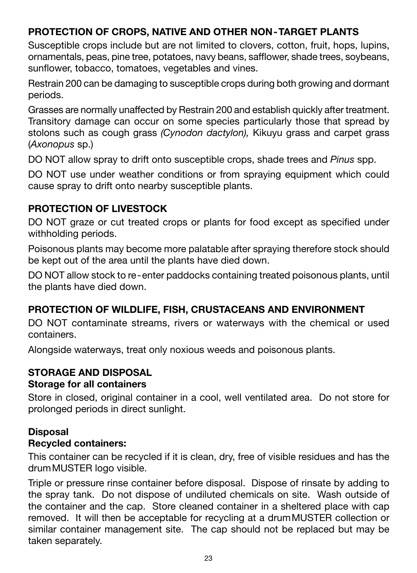#### **PROTECTION OF CROPS, NATIVE AND OTHER NON-TARGET PLANTS**

Susceptible crops include but are not limited to clovers, cotton, fruit, hops, lupins, ornamentals, peas, pine tree, potatoes, navy beans, safflower, shade trees, soybeans, sunflower, tobacco, tomatoes, vegetables and vines.

Restrain 200 can be damaging to susceptible crops during both growing and dormant periods.

Grasses are normally unaffected by Restrain 200 and establish quickly after treatment. Transitory damage can occur on some species particularly those that spread by stolons such as cough grass *(Cynodon dactylon),* Kikuyu grass and carpet grass (*Axonopus* sp.)

DO NOT allow spray to drift onto susceptible crops, shade trees and *Pinus* spp.

DO NOT use under weather conditions or from spraying equipment which could cause spray to drift onto nearby susceptible plants.

#### **PROTECTION OF LIVESTOCK**

DO NOT graze or cut treated crops or plants for food except as specified under withholding periods.

Poisonous plants may become more palatable after spraying therefore stock should be kept out of the area until the plants have died down.

DO NOT allow stock to re-enter paddocks containing treated poisonous plants, until the plants have died down.

#### **PROTECTION OF WILDLIFE, FISH, CRUSTACEANS AND ENVIRONMENT**

DO NOT contaminate streams, rivers or waterways with the chemical or used containers.

Alongside waterways, treat only noxious weeds and poisonous plants.

#### **STORAGE AND DISPOSAL**

#### **Storage for all containers**

Store in closed, original container in a cool, well ventilated area. Do not store for prolonged periods in direct sunlight.

#### **Disposal**

#### **Recycled containers:**

This container can be recycled if it is clean, dry, free of visible residues and has the drumMUSTER logo visible.

Triple or pressure rinse container before disposal. Dispose of rinsate by adding to the spray tank. Do not dispose of undiluted chemicals on site. Wash outside of the container and the cap. Store cleaned container in a sheltered place with cap removed. It will then be acceptable for recycling at a drumMUSTER collection or similar container management site. The cap should not be replaced but may be taken separately.